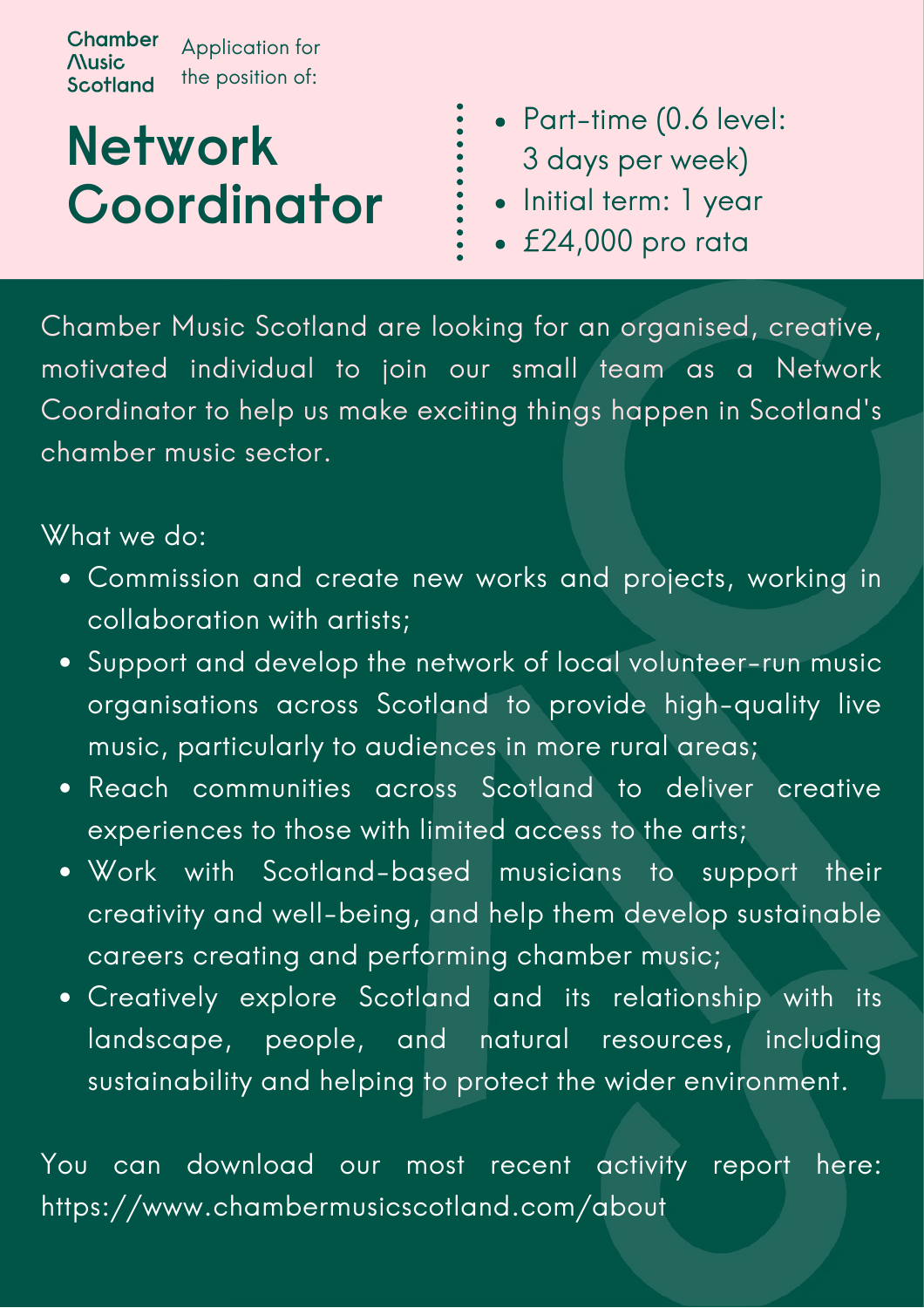**Chamber** Application for **Nusic** the position of:**Scotland** 

# **Network Coordinator**

- Part-time (0.6 level: 3 days per week)
- Initial term: 1 year
- £24,000 pro rata

Chamber Music Scotland are looking for an organised, creative, motivated individual to join our small team as a Network Coordinator to help us make exciting things happen in Scotland's chamber music sector.

### What we do:

- Commission and create new works and projects, working in collaboration with artists;
- Support and develop the network of local volunteer-run music organisations across Scotland to provide high-quality live music, particularly to audiences in more rural areas;
- Reach communities across Scotland to deliver creative experiences to those with limited access to the arts;
- Work with Scotland-based musicians to support their creativity and well-being, and help them develop sustainable careers creating and performing chamber music;
- Creatively explore Scotland and its relationship with its landscape, people, and natural resources, including sustainability and helping to protect the wider environment.

You can download our most recent activity report here: https://www.chambermusicscotland.com/about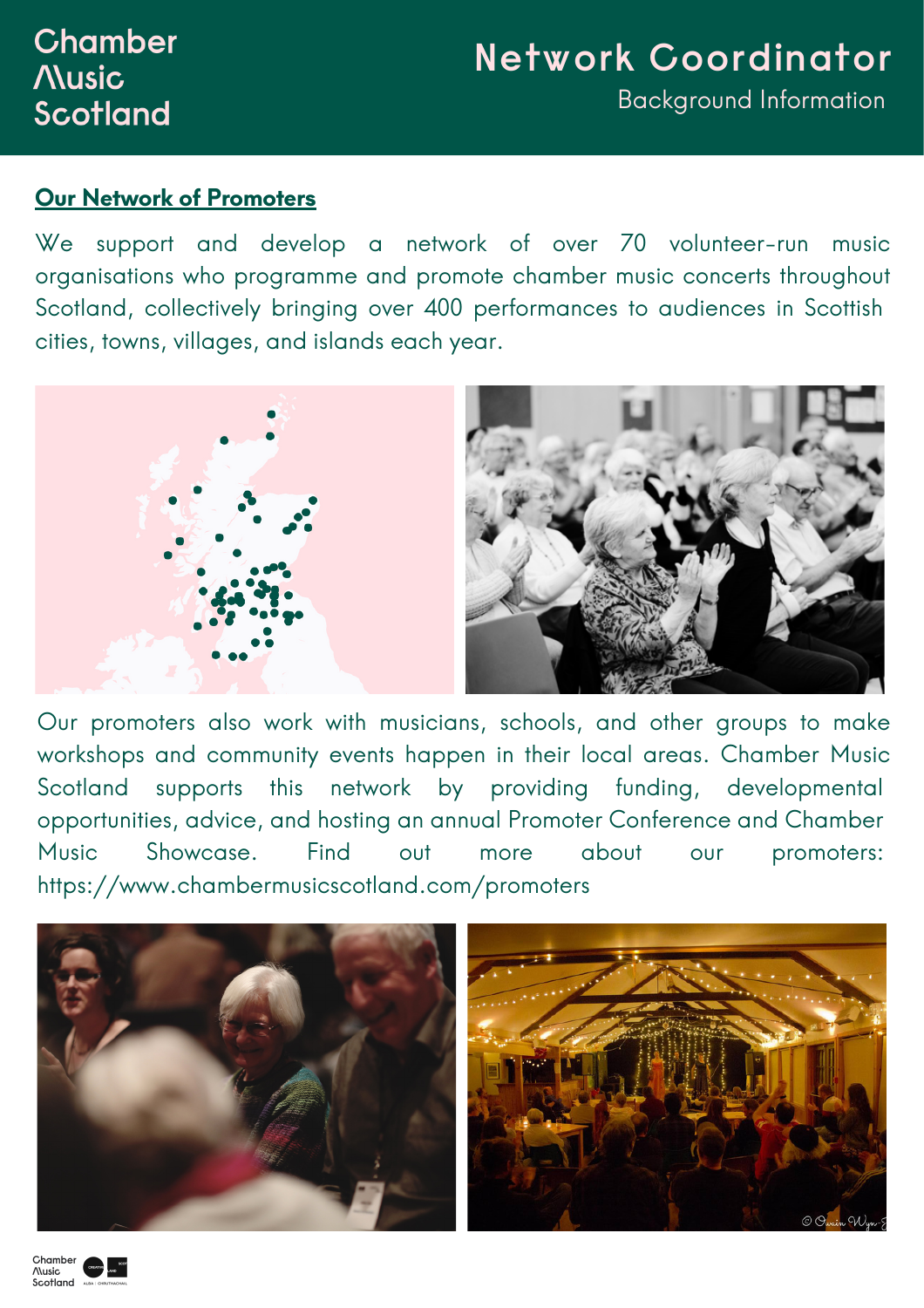## **Chamber Nusic** Scotland

# **Network Coordinator** Background Information

#### **Our Network of Promoters**

We support and develop a network of over 70 volunteer-run music organisations who programme and promote chamber music concerts throughout Scotland, collectively bringing over 400 performances to audiences in Scottish cities, towns, villages, and islands each year.



Our promoters also work with musicians, schools, and other groups to make workshops and community events happen in their local areas. Chamber Music Scotland supports this network by providing funding, developmental opportunities, advice, and hosting an annual Promoter Conference and Chamber Music Showcase. Find out more about our promoters: https://www.chambermusicscotland.com/promoters